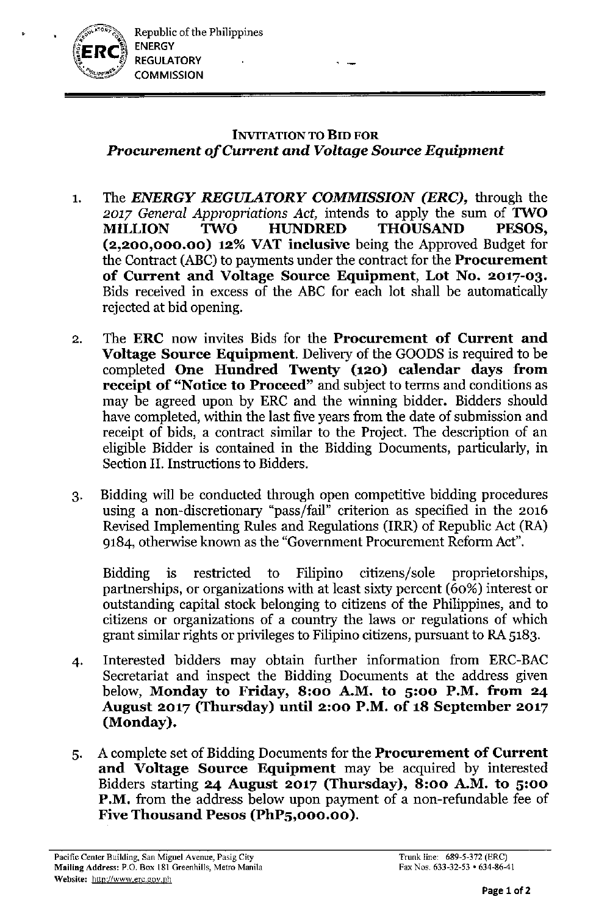

## INVITATION TO BID FOR *Procurement of Current and Voltage Source Equipment*

. -

- 1. The *ENERGY REGULATORY COMMISSION (ERC),* through the 2017 *General Appropriations Act*, intends to apply the sum of **TWO** MILLION TWO HUNDRED THOUSAND PESOS, (2,200,000.00) 12% VAT inclusive being the Approved Budget for the Contract (ABC) to payments under the contract for the Procurement of Current and Voltage Source Equipment, Lot No. 2017-03. Bids received in excess of the ABC for each lot shall be automatically rejected at bid opening.
- 2. The ERC now invites Bids for the Procurement of Current and Voltage Source Equipment. Delivery of the GOODS is required to be completed One Hundred Twenty (120) calendar days from receipt of "Notice to Proceed" and subject to terms and conditions as may be agreed upon by ERC and the winning bidder. Bidders should have completed, within the last five years from the date of submission and receipt of bids, a contract similar to the Project. The description of an eligible Bidder is contained in the Bidding Documents, particularly, in Section II. Instructions to Bidders.
- 3. Bidding will be conducted through open competitive bidding procedures using a non-discretionary "pass/fail" criterion as specified in the 2016 Revised Implementing Rules and Regulations (IRR) of Republic Act (RA) 9184, otherwise known as the "Government Procurement Reform Act".

Bidding is restricted to Filipino citizens/sole proprietorships, partnerships, or organizations with at least sixty percent (60%) interest or outstanding capital stock belonging to citizens of the Philippines, and to citizens or organizations of a country the laws or regulations of which grant similar rights or privileges to Filipino citizens, pursuant to RA 5183.

- 4. Interested bidders may obtain further information from ERC-BAC Secretariat and inspect the Bidding Documents at the address given below, Monday to Friday, 8:00 A.M. to 5:00 P.M. from 24 August 2017 (Thursday) until 2:00 P.M. of 18 September 2017 (Monday).
- 5. A complete set of Bidding Documents for the Procurement of Current and Voltage Source Equipment may be acquired by interested Bidders starting 24 August 2017 (Thursday), 8:00 A.M. to 5:00 **P.M.** from the address below upon payment of a non-refundable fee of Five Thousand Pesos (PhP5,000.00).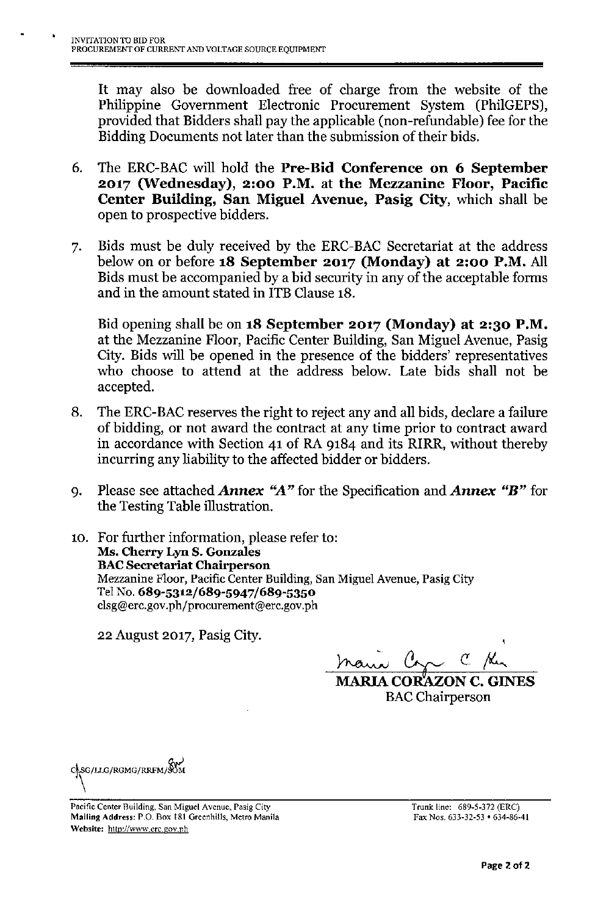It may also be downloaded free of charge from the website of the Philippine Government Electronic Procurement System (PhilGEPS), provided that Bidders shall pay the applicable (non-refundable) fee for the Bidding Documents not later than the submission of their bids.

- 6. The ERC-BAC will hold the Pre-Bid Conference on 6 September 2017 (Wednesday), 2:00 P.M. at the Mezzanine Floor, Pacific Center Building, San Miguel Avenue, Pasig City, which shall be open to prospective bidders.
- 7. Bids must be duly received by the ERC-BAC Secretariat at the address below on or before 18 September 2017 (Monday) at 2:00 P.M. All Bids must be accompanied by a bid security in any of the acceptable forms and in the amount stated in ITB Clause 18.

Bid opening shall be on 18 September 2017 (Monday) at 2:30 P.M. at the Mezzanine Floor, Pacific Center Building, San Miguel Avenue, Pasig City. Bids will be opened in the presence of the bidders' representatives who choose to attend at the address below. Late bids shall not be accepted.

- 8. The ERC-BAC reserves the right to reject any and all bids, declare a failure of bidding, or not award the contract at any time prior to contract award in accordance with Section 41 of RA 9184 and its RIRR, without thereby incurring any liability to the affected bidder or bidders.
- 9. Please see attached *Annex "A"* for the Specification and *Annex "B"* for the Testing Table illustration.
- 10. For further information, please refer to: Ms. Cherry Lyn S. Gonzales **BAC Secretariat Chairperson** Mezzanine Floor, Pacific Center Building, San Miguel Avenue, Pasig City Tel No. 689-5312/689-5947/689-5350 [clsg@erc.gov.ph/procuremenl@erc.gov.ph](mailto:clsg@erc.gov.ph/procuremenl@erc.gov.ph)

22 August 2017, Pasig City.

*~~C!-~*

MARIA COR'AZON C. GINES **BAC** Chairperson



Pacific Center Building, San Miguel Avenue, Pasig City Mailing Address: P.O. Box 181 Greenhills, Metro Manila Website: <http://www.erc.gov.ph>

Trunk line: 689-5-372 (ERC) Fax Nos. 633-32-53 • 634-86-41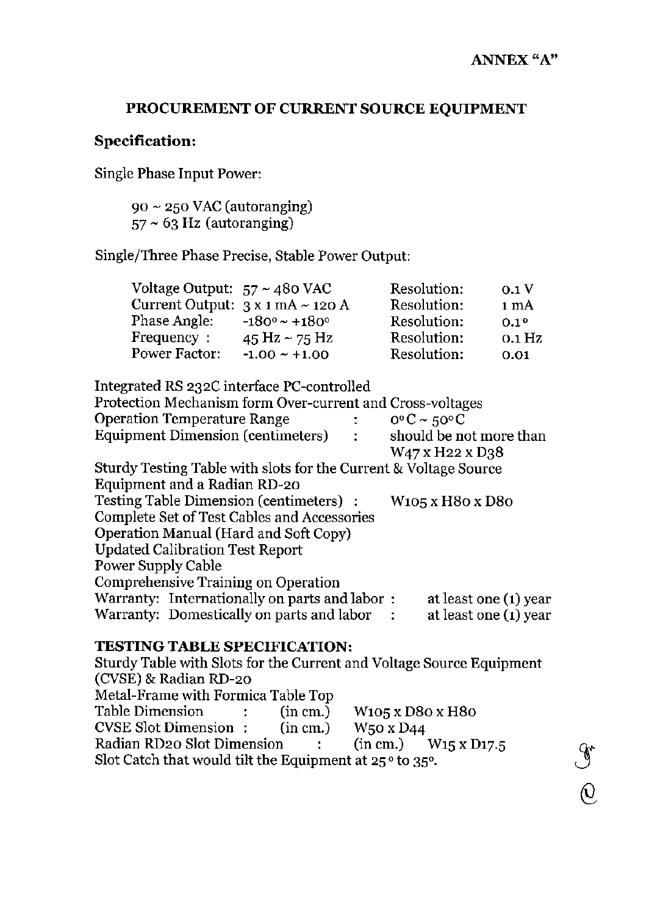**€**<br>⊙

## **PROCUREMENT OF CURRENT SOURCE EQUIPMENT**

## **Specification:**

Single Phase Input Power:

 $90 \sim 250$  VAC (autoranging)  $57 \sim 63$  Hz (autoranging)

Single/Three Phase Precise, Stable Power Output:

| Voltage Output: $57 \sim 480$ VAC |                                         | Resolution: | 0.1V             |
|-----------------------------------|-----------------------------------------|-------------|------------------|
|                                   | Current Output: $3 \times 1$ mA ~ 120 A | Resolution: | 1 mA             |
| Phase Angle:                      | $-180^\circ \sim \pm 180^\circ$         | Resolution: | 0.1 <sup>0</sup> |
| Frequency:                        | 45 Hz $\sim$ 75 Hz                      | Resolution: | 0.1 Hz           |
| <b>Power Factor:</b>              | $-1.00 \sim +1.00$                      | Resolution: | 0.01             |

| Integrated RS 232C interface PC-controlled                       |                |                                 |                                                      |  |
|------------------------------------------------------------------|----------------|---------------------------------|------------------------------------------------------|--|
| Protection Mechanism form Over-current and Cross-voltages        |                |                                 |                                                      |  |
| <b>Operation Temperature Range</b>                               | t i            | $0^{\circ}$ C ~ 50 $^{\circ}$ C |                                                      |  |
| Equipment Dimension (centimeters)                                | $\ddot{\cdot}$ |                                 | should be not more than                              |  |
|                                                                  |                |                                 | W47 x H22 x D38                                      |  |
| Sturdy Testing Table with slots for the Current & Voltage Source |                |                                 |                                                      |  |
| Equipment and a Radian RD-20                                     |                |                                 |                                                      |  |
| Testing Table Dimension (centimeters) :                          |                |                                 | W <sub>105</sub> x H <sub>80</sub> x D <sub>80</sub> |  |
| Complete Set of Test Cables and Accessories                      |                |                                 |                                                      |  |
| Operation Manual (Hard and Soft Copy)                            |                |                                 |                                                      |  |
| <b>Updated Calibration Test Report</b>                           |                |                                 |                                                      |  |
| Power Supply Cable                                               |                |                                 |                                                      |  |
| <b>Comprehensive Training on Operation</b>                       |                |                                 |                                                      |  |
| Warranty: Internationally on parts and labor:                    |                |                                 | at least one (1) year                                |  |
| Warranty: Domestically on parts and labor                        |                |                                 | at least one (1) year                                |  |
|                                                                  |                |                                 |                                                      |  |

## **TESTING TABLE SPECIFICATION:**

Sturdy Table with Slots for the Current and Voltage Source Equipment (CVSE) & Radian RD-20 Metal-Frame with Formica Table Top Table Dimension  $\therefore$  (in cm.) W105 x D80 x H80 CVSE Slot Dimension: (in em.) W50 x D44 Radian RD20 Slot Dimension (in cm.) W15 x D17.5 Slot Catch that would tilt the Equipment at  $25^{\circ}$  to 35°.